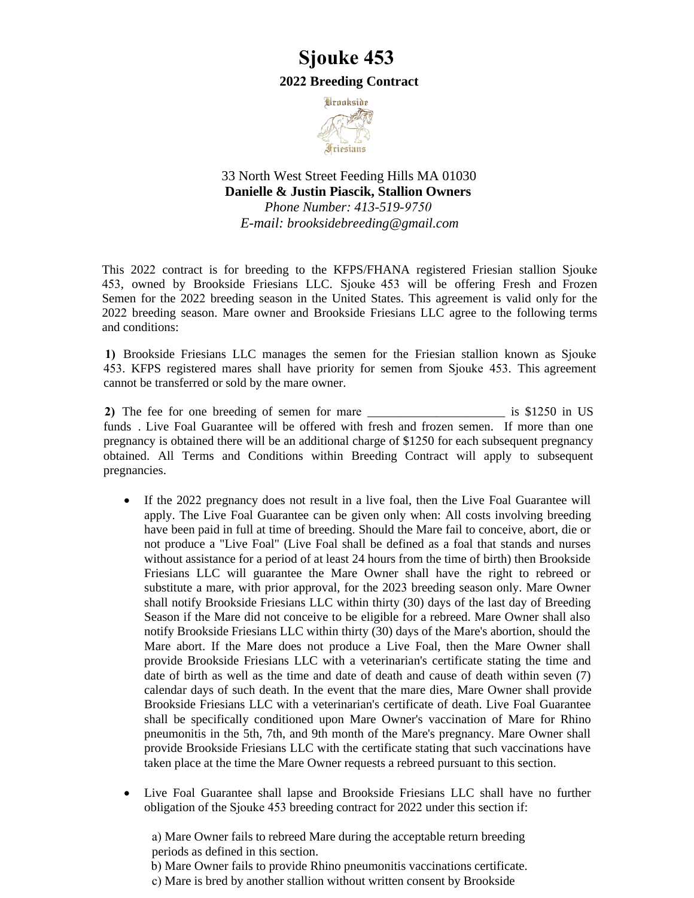## **Sjouke 453**

## **2022 Breeding Contract**



33 North West Street Feeding Hills MA 01030 **Danielle & Justin Piascik, Stallion Owners**  *Phone Number: 413-519-9750 E-mail: [brooksidebreeding@gmail.com](mailto:brooksidebreeding@gmail.com)*

This 2022 contract is for breeding to the KFPS/FHANA registered Friesian stallion Sjouke 453, owned by Brookside Friesians LLC. Sjouke 453 will be offering Fresh and Frozen Semen for the 2022 breeding season in the United States. This agreement is valid only for the 2022 breeding season. Mare owner and Brookside Friesians LLC agree to the following terms and conditions:

**1)** Brookside Friesians LLC manages the semen for the Friesian stallion known as Sjouke 453. KFPS registered mares shall have priority for semen from Sjouke 453. This agreement cannot be transferred or sold by the mare owner.

**2)** The fee for one breeding of semen for mare \_\_\_\_\_\_\_\_\_\_\_\_\_\_\_\_\_\_\_\_\_\_ is \$1250 in US funds . Live Foal Guarantee will be offered with fresh and frozen semen. If more than one pregnancy is obtained there will be an additional charge of \$1250 for each subsequent pregnancy obtained. All Terms and Conditions within Breeding Contract will apply to subsequent pregnancies.

- If the 2022 pregnancy does not result in a live foal, then the Live Foal Guarantee will apply. The Live Foal Guarantee can be given only when: All costs involving breeding have been paid in full at time of breeding. Should the Mare fail to conceive, abort, die or not produce a "Live Foal" (Live Foal shall be defined as a foal that stands and nurses without assistance for a period of at least 24 hours from the time of birth) then Brookside Friesians LLC will guarantee the Mare Owner shall have the right to rebreed or substitute a mare, with prior approval, for the 2023 breeding season only. Mare Owner shall notify Brookside Friesians LLC within thirty (30) days of the last day of Breeding Season if the Mare did not conceive to be eligible for a rebreed. Mare Owner shall also notify Brookside Friesians LLC within thirty (30) days of the Mare's abortion, should the Mare abort. If the Mare does not produce a Live Foal, then the Mare Owner shall provide Brookside Friesians LLC with a veterinarian's certificate stating the time and date of birth as well as the time and date of death and cause of death within seven (7) calendar days of such death. In the event that the mare dies, Mare Owner shall provide Brookside Friesians LLC with a veterinarian's certificate of death. Live Foal Guarantee shall be specifically conditioned upon Mare Owner's vaccination of Mare for Rhino pneumonitis in the 5th, 7th, and 9th month of the Mare's pregnancy. Mare Owner shall provide Brookside Friesians LLC with the certificate stating that such vaccinations have taken place at the time the Mare Owner requests a rebreed pursuant to this section.
- Live Foal Guarantee shall lapse and Brookside Friesians LLC shall have no further obligation of the Sjouke 453 breeding contract for 2022 under this section if:

a) Mare Owner fails to rebreed Mare during the acceptable return breeding periods as defined in this section.

b) Mare Owner fails to provide Rhino pneumonitis vaccinations certificate.

c) Mare is bred by another stallion without written consent by Brookside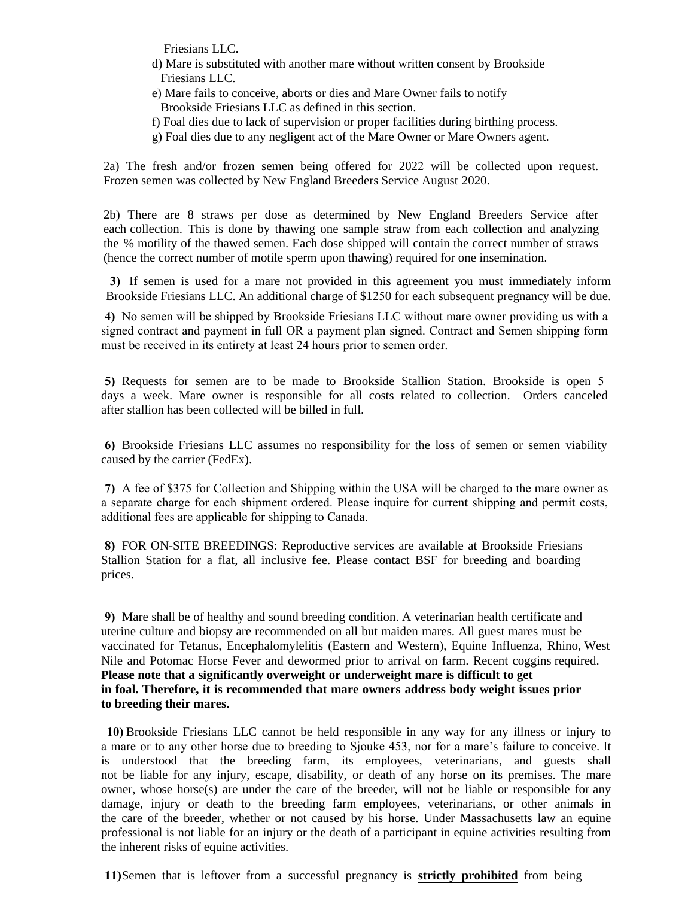Friesians LLC.

- d) Mare is substituted with another mare without written consent by Brookside Friesians LLC.
- e) Mare fails to conceive, aborts or dies and Mare Owner fails to notify Brookside Friesians LLC as defined in this section.
- f) Foal dies due to lack of supervision or proper facilities during birthing process.
- g) Foal dies due to any negligent act of the Mare Owner or Mare Owners agent.

2a) The fresh and/or frozen semen being offered for 2022 will be collected upon request. Frozen semen was collected by New England Breeders Service August 2020.

2b) There are 8 straws per dose as determined by New England Breeders Service after each collection. This is done by thawing one sample straw from each collection and analyzing the % motility of the thawed semen. Each dose shipped will contain the correct number of straws (hence the correct number of motile sperm upon thawing) required for one insemination.

**3)** If semen is used for a mare not provided in this agreement you must immediately inform Brookside Friesians LLC. An additional charge of \$1250 for each subsequent pregnancy will be due.

**4)** No semen will be shipped by Brookside Friesians LLC without mare owner providing us with a signed contract and payment in full OR a payment plan signed. Contract and Semen shipping form must be received in its entirety at least 24 hours prior to semen order.

**5)** Requests for semen are to be made to Brookside Stallion Station. Brookside is open 5 days a week. Mare owner is responsible for all costs related to collection. Orders canceled after stallion has been collected will be billed in full.

**6)** Brookside Friesians LLC assumes no responsibility for the loss of semen or semen viability caused by the carrier (FedEx).

**7)** A fee of \$375 for Collection and Shipping within the USA will be charged to the mare owner as a separate charge for each shipment ordered. Please inquire for current shipping and permit costs, additional fees are applicable for shipping to Canada.

**8)** FOR ON-SITE BREEDINGS: Reproductive services are available at Brookside Friesians Stallion Station for a flat, all inclusive fee. Please contact BSF for breeding and boarding prices.

**9)** Mare shall be of healthy and sound breeding condition. A veterinarian health certificate and uterine culture and biopsy are recommended on all but maiden mares. All guest mares must be vaccinated for Tetanus, Encephalomylelitis (Eastern and Western), Equine Influenza, Rhino, West Nile and Potomac Horse Fever and dewormed prior to arrival on farm. Recent coggins required. **Please note that a significantly overweight or underweight mare is difficult to get in foal. Therefore, it is recommended that mare owners address body weight issues prior to breeding their mares.**

**10)** Brookside Friesians LLC cannot be held responsible in any way for any illness or injury to a mare or to any other horse due to breeding to Sjouke 453, nor for a mare's failure to conceive. It is understood that the breeding farm, its employees, veterinarians, and guests shall not be liable for any injury, escape, disability, or death of any horse on its premises. The mare owner, whose horse(s) are under the care of the breeder, will not be liable or responsible for any damage, injury or death to the breeding farm employees, veterinarians, or other animals in the care of the breeder, whether or not caused by his horse. Under Massachusetts law an equine professional is not liable for an injury or the death of a participant in equine activities resulting from the inherent risks of equine activities.

**11)**Semen that is leftover from a successful pregnancy is **strictly prohibited** from being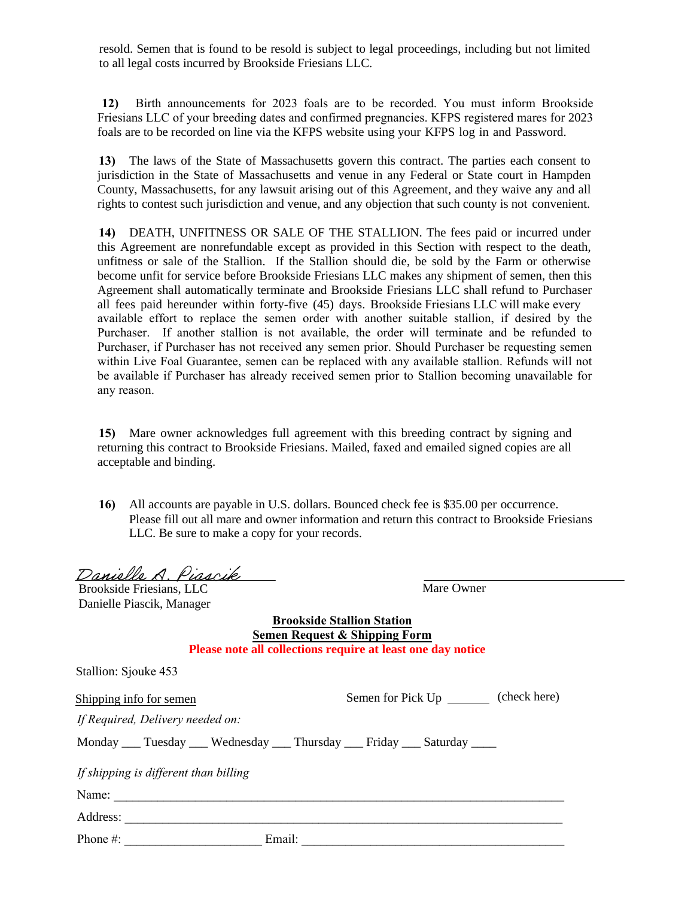resold. Semen that is found to be resold is subject to legal proceedings, including but not limited to all legal costs incurred by Brookside Friesians LLC.

**12)** Birth announcements for 2023 foals are to be recorded. You must inform Brookside Friesians LLC of your breeding dates and confirmed pregnancies. KFPS registered mares for 2023 foals are to be recorded on line via the KFPS website using your KFPS log in and Password.

**13)** The laws of the State of Massachusetts govern this contract. The parties each consent to jurisdiction in the State of Massachusetts and venue in any Federal or State court in Hampden County, Massachusetts, for any lawsuit arising out of this Agreement, and they waive any and all rights to contest such jurisdiction and venue, and any objection that such county is not convenient.

**14)** DEATH, UNFITNESS OR SALE OF THE STALLION. The fees paid or incurred under this Agreement are nonrefundable except as provided in this Section with respect to the death, unfitness or sale of the Stallion. If the Stallion should die, be sold by the Farm or otherwise become unfit for service before Brookside Friesians LLC makes any shipment of semen, then this Agreement shall automatically terminate and Brookside Friesians LLC shall refund to Purchaser all fees paid hereunder within forty-five (45) days. Brookside Friesians LLC will make every available effort to replace the semen order with another suitable stallion, if desired by the Purchaser. If another stallion is not available, the order will terminate and be refunded to Purchaser, if Purchaser has not received any semen prior. Should Purchaser be requesting semen within Live Foal Guarantee, semen can be replaced with any available stallion. Refunds will not be available if Purchaser has already received semen prior to Stallion becoming unavailable for any reason.

**15)** Mare owner acknowledges full agreement with this breeding contract by signing and returning this contract to Brookside Friesians. Mailed, faxed and emailed signed copies are all acceptable and binding.

**16)** All accounts are payable in U.S. dollars. Bounced check fee is \$35.00 per occurrence. Please fill out all mare and owner information and return this contract to Brookside Friesians LLC. Be sure to make a copy for your records.

Danielle A. Piascik

Brookside Friesians, LLC Danielle Piascik, Manager Mare Owner

**Brookside Stallion Station Semen Request & Shipping Form Please note all collections require at least one day notice**

| Stallion: Sjouke 453                  |                                                                                       |
|---------------------------------------|---------------------------------------------------------------------------------------|
| Shipping info for semen               | (check here)<br>Semen for Pick Up ________                                            |
| If Required, Delivery needed on:      |                                                                                       |
|                                       | Monday _____ Tuesday _____ Wednesday _____ Thursday _____ Friday _____ Saturday _____ |
| If shipping is different than billing |                                                                                       |
| Name:                                 |                                                                                       |
| Address:                              |                                                                                       |
| Phone #:                              | Email:                                                                                |